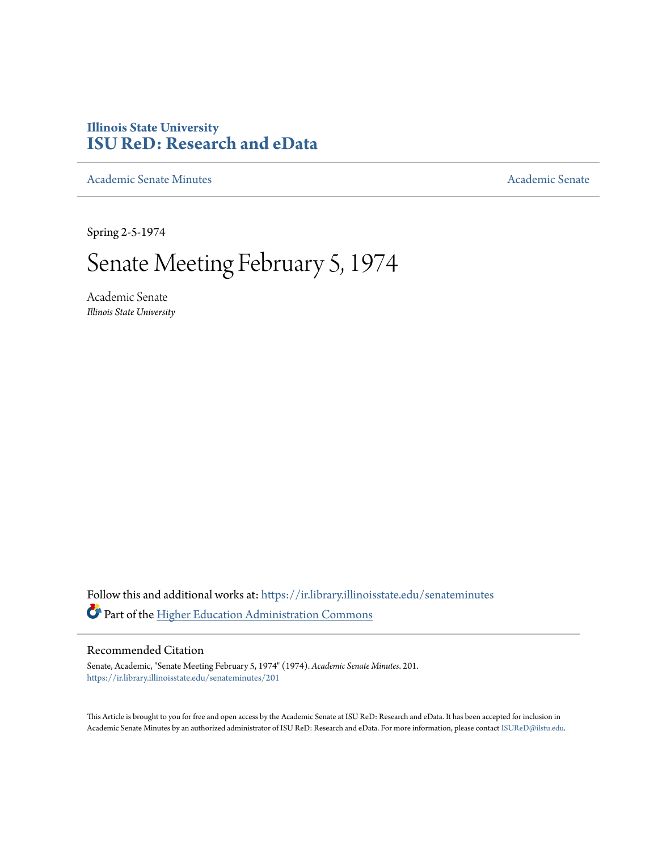## **Illinois State University [ISU ReD: Research and eData](https://ir.library.illinoisstate.edu?utm_source=ir.library.illinoisstate.edu%2Fsenateminutes%2F201&utm_medium=PDF&utm_campaign=PDFCoverPages)**

[Academic Senate Minutes](https://ir.library.illinoisstate.edu/senateminutes?utm_source=ir.library.illinoisstate.edu%2Fsenateminutes%2F201&utm_medium=PDF&utm_campaign=PDFCoverPages) [Academic Senate](https://ir.library.illinoisstate.edu/senate?utm_source=ir.library.illinoisstate.edu%2Fsenateminutes%2F201&utm_medium=PDF&utm_campaign=PDFCoverPages) Academic Senate

Spring 2-5-1974

## Senate Meeting February 5, 1974

Academic Senate *Illinois State University*

Follow this and additional works at: [https://ir.library.illinoisstate.edu/senateminutes](https://ir.library.illinoisstate.edu/senateminutes?utm_source=ir.library.illinoisstate.edu%2Fsenateminutes%2F201&utm_medium=PDF&utm_campaign=PDFCoverPages) Part of the [Higher Education Administration Commons](http://network.bepress.com/hgg/discipline/791?utm_source=ir.library.illinoisstate.edu%2Fsenateminutes%2F201&utm_medium=PDF&utm_campaign=PDFCoverPages)

## Recommended Citation

Senate, Academic, "Senate Meeting February 5, 1974" (1974). *Academic Senate Minutes*. 201. [https://ir.library.illinoisstate.edu/senateminutes/201](https://ir.library.illinoisstate.edu/senateminutes/201?utm_source=ir.library.illinoisstate.edu%2Fsenateminutes%2F201&utm_medium=PDF&utm_campaign=PDFCoverPages)

This Article is brought to you for free and open access by the Academic Senate at ISU ReD: Research and eData. It has been accepted for inclusion in Academic Senate Minutes by an authorized administrator of ISU ReD: Research and eData. For more information, please contact [ISUReD@ilstu.edu.](mailto:ISUReD@ilstu.edu)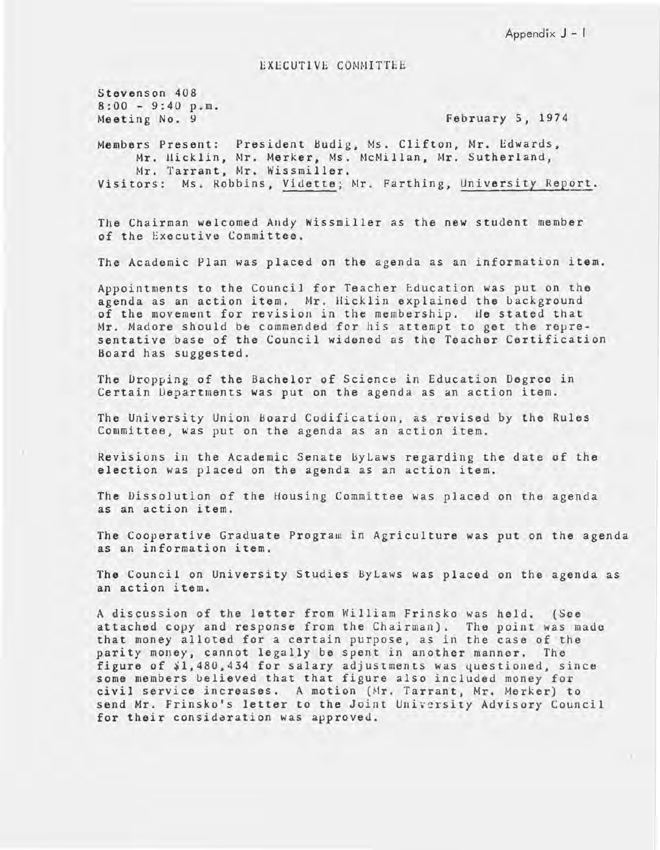Appendix J - I

EXECUTIVE COMMITTEE

Stevenson 408  $8:00 - 9:40 p.m.$ Meeting No. 9

February 5, 1974

Members Present: President Hudig, Ms. Clifton, Mr. Edwards, Mr. Hicklin, Mr. Merker, Ms. McMillan, Mr. Sutherland, Mr. Tarrant, Mr. Wissmiller. Visitors: Ms. Robbins, Vidette; Mr. Farthing, University Report.

The Chairman welcomed Andy Wissmiller as the new student member of the Executive Committee.

The Academic Plan was placed on the agenda as an information item.

Appointments to the Council for Teacher Education was put on the agenda as an action item. Mr. Hicklin explained the background of the movement for revision in the membership. He stated that Mr. Madore should be commended for his attempt to get the representative base of the Council widened as the Teacher Certification Board has suggested.

The Oropping of the Bachelor of Science in Education Degree in Certain Departments was put on the agenda as an action item.

The University Union Hoard Codification, as revised by the Rules Committee, was put on the agenda as an action item.

Revisions in the Academic Senate ByLaws regarding the date of the election was placed on the agenda as an action item.

The Oissolution of the Housing Committee was placed on the agenda as an action item.

The Cooperative Graduate Program in Agriculture was put on the agenda as an information item.

The Council on University Studies ByLaws was placed on the agenda as an action item.

A discussion of the letter from William Frinsko was held. (See attached copy and response from the Chairman). The point was made that money alloted for a certain purpose, as *in* the case of the parity money, cannot legally be spent in another manner. The figure of  $\frac{1}{4}$ , 480, 434 for salary adjustments was questioned, since some members believed that that figure also included money for civil service increases. A motion (Mr. Tarrant, Mr. Merker) to send Mr. Frinsko's letter to the *Joint* University Advisory Council for their considaration was approved.